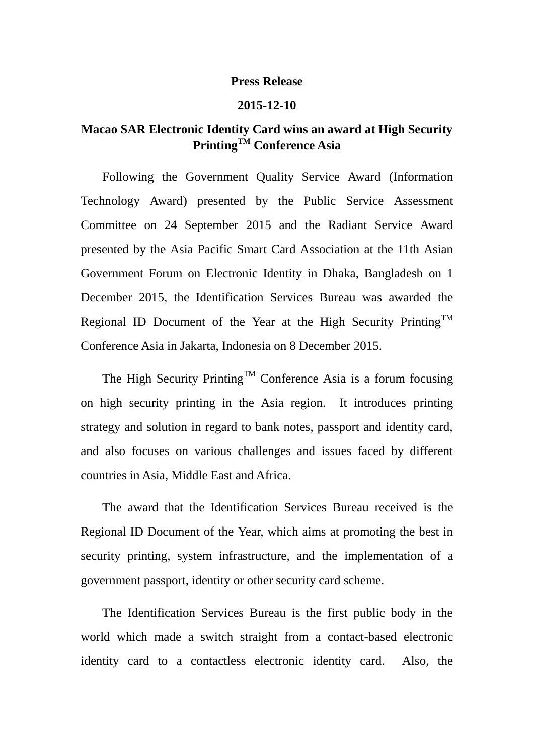## **Press Release**

## **2015-12-10**

## **Macao SAR Electronic Identity Card wins an award at High Security PrintingTM Conference Asia**

Following the Government Quality Service Award (Information Technology Award) presented by the Public Service Assessment Committee on 24 September 2015 and the Radiant Service Award presented by the Asia Pacific Smart Card Association at the 11th Asian Government Forum on Electronic Identity in Dhaka, Bangladesh on 1 December 2015, the Identification Services Bureau was awarded the Regional ID Document of the Year at the High Security Printing<sup>TM</sup> Conference Asia in Jakarta, Indonesia on 8 December 2015.

The High Security Printing<sup>TM</sup> Conference Asia is a forum focusing on high security printing in the Asia region. It introduces printing strategy and solution in regard to bank notes, passport and identity card, and also focuses on various challenges and issues faced by different countries in Asia, Middle East and Africa.

The award that the Identification Services Bureau received is the Regional ID Document of the Year, which aims at promoting the best in security printing, system infrastructure, and the implementation of a government passport, identity or other security card scheme.

The Identification Services Bureau is the first public body in the world which made a switch straight from a contact-based electronic identity card to a contactless electronic identity card. Also, the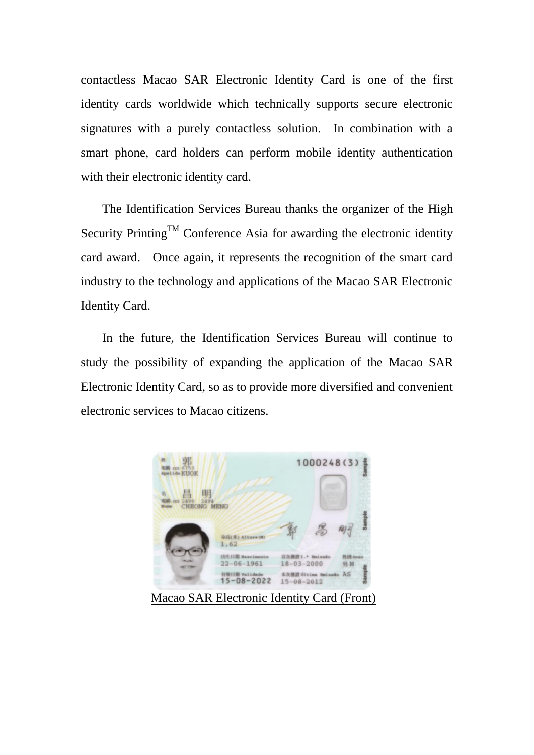contactless Macao SAR Electronic Identity Card is one of the first identity cards worldwide which technically supports secure electronic signatures with a purely contactless solution. In combination with a smart phone, card holders can perform mobile identity authentication with their electronic identity card.

The Identification Services Bureau thanks the organizer of the High Security Printing<sup>TM</sup> Conference Asia for awarding the electronic identity card award. Once again, it represents the recognition of the smart card industry to the technology and applications of the Macao SAR Electronic Identity Card.

In the future, the Identification Services Bureau will continue to study the possibility of expanding the application of the Macao SAR Electronic Identity Card, so as to provide more diversified and convenient electronic services to Macao citizens.



Macao SAR Electronic Identity Card (Front)